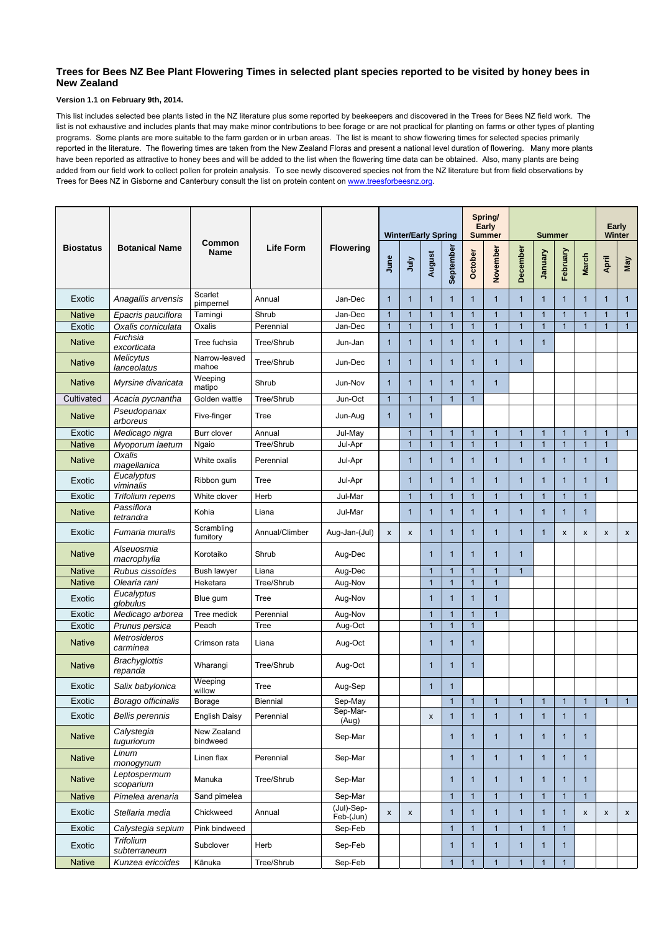## **Trees for Bees NZ Bee Plant Flowering Times in selected plant species reported to be visited by honey bees in New Zealand**

This list includes selected bee plants listed in the NZ literature plus some reported by beekeepers and discovered in the Trees for Bees NZ field work. The list is not exhaustive and includes plants that may make minor contributions to bee forage or are not practical for planting on farms or other types of planting programs. Some plants are more suitable to the farm garden or in urban areas. The list is meant to show flowering times for selected species primarily reported in the literature. The flowering times are taken from the New Zealand Floras and present a national level duration of flowering. Many more plants have been reported as attractive to honey bees and will be added to the list when the flowering time data can be obtained. Also, many plants are being added from our field work to collect pollen for protein analysis. To see newly discovered species not from the NZ literature but from field observations by Trees for Bees NZ in Gisborne and Canterbury consult the list on protein content on www.treesforbeesnz.org.

## **Version 1.1 on February 9th, 2014.**

|                  |                                 | <b>Common</b><br><b>Name</b> | <b>Life Form</b> |                         |                | <b>Winter/Early Spring</b> |                |           |                | Spring/<br><b>Early</b><br><b>Summer</b> | <b>Summer</b>  |                         |                |                           | <b>Winter</b>             | Early          |
|------------------|---------------------------------|------------------------------|------------------|-------------------------|----------------|----------------------------|----------------|-----------|----------------|------------------------------------------|----------------|-------------------------|----------------|---------------------------|---------------------------|----------------|
| <b>Biostatus</b> | <b>Botanical Name</b>           |                              |                  | <b>Flowering</b>        | June           | VInr                       | August         | September | <b>October</b> | November                                 | December       | <b>January</b>          | February       | <b>March</b>              | April                     | <b>May</b>     |
| Exotic           | Anagallis arvensis              | Scarlet<br>pimpernel         | Annual           | Jan-Dec                 | 1              | $\mathbf{1}$               | $\mathbf{1}$   |           | 1              | $\mathbf{1}$                             | $\mathbf{1}$   | $\mathbf{1}$            | $\mathbf{1}$   | 1                         | 1                         | $\overline{1}$ |
| <b>Native</b>    | Epacris pauciflora              | Tamingi                      | Shrub            | Jan-Dec                 | 1              | $\overline{1}$             | $\mathbf{1}$   |           |                | $\mathbf{1}$                             | $\overline{1}$ | $\overline{1}$          | $\mathbf{1}$   |                           | 1                         | $\mathbf{1}$   |
| Exotic           | Oxalis corniculata              | Oxalis                       | Perennial        | Jan-Dec                 | $\overline{1}$ | $\overline{1}$             | $\overline{1}$ |           | $\overline{1}$ | $\mathbf{1}$                             | $\overline{1}$ | $\overline{1}$          | $\overline{1}$ | $\overline{1}$            | $\overline{1}$            | $\overline{1}$ |
| <b>Native</b>    | Fuchsia<br>excorticata          | Tree fuchsia                 | Tree/Shrub       | Jun-Jan                 | 1              | $\overline{1}$             | $\mathbf{1}$   |           | 1              | $\mathbf 1$                              | 1              | 1                       |                |                           |                           |                |
| <b>Native</b>    | <b>Melicytus</b><br>lanceolatus | Narrow-leaved<br>mahoe       | Tree/Shrub       | Jun-Dec                 | 1              | $\overline{1}$             | $\mathbf{1}$   |           | 1              | $\mathbf{1}$                             | $\mathbf 1$    |                         |                |                           |                           |                |
| <b>Native</b>    | Myrsine divaricata              | Weeping<br>matipo            | Shrub            | Jun-Nov                 | 1              | $\overline{1}$             | $\mathbf{1}$   | 1         | 1              | $\mathbf{1}$                             |                |                         |                |                           |                           |                |
| Cultivated       | Acacia pycnantha                | Golden wattle                | Tree/Shrub       | Jun-Oct                 | $\mathbf 1$    | $\overline{1}$             | $\mathbf{1}$   |           | 1              |                                          |                |                         |                |                           |                           |                |
| <b>Native</b>    | Pseudopanax<br>arboreus         | Five-finger                  | <b>Tree</b>      | Jun-Aug                 | 1              | $\overline{1}$             | $\mathbf{1}$   |           |                |                                          |                |                         |                |                           |                           |                |
| Exotic           | Medicago nigra                  | Burr clover                  | Annual           | Jul-May                 |                | $\overline{1}$             | $\mathbf{1}$   | 1         | $\overline{1}$ | $\overline{1}$                           | $\overline{1}$ | $\overline{1}$          | $\overline{1}$ | $\mathbf{1}$              | $\overline{1}$            | $\overline{1}$ |
| <b>Native</b>    | Myoporum laetum                 | Ngaio                        | Tree/Shrub       | Jul-Apr                 |                | $\overline{1}$             | $\overline{1}$ |           | $\overline{1}$ | $\overline{1}$                           | 1              | $\overline{1}$          | $\overline{1}$ |                           | 1                         |                |
| <b>Native</b>    | Oxalis<br>magellanica           | White oxalis                 | Perennial        | Jul-Apr                 |                | $\mathbf{1}$               | $\mathbf{1}$   |           | 1              | $\mathbf{1}$                             | 1              | 1                       | $\mathbf 1$    | 1                         | 1                         |                |
| Exotic           | Eucalyptus<br>viminalis         | Ribbon gum                   | <b>Tree</b>      | Jul-Apr                 |                | $\overline{1}$             | $\mathbf{1}$   | 1         | 1              | $\mathbf{1}$                             | 1              | $\blacksquare$          | $\mathbf{1}$   | 1                         | $\mathbf 1$               |                |
| Exotic           | Trifolium repens                | White clover                 | Herb             | Jul-Mar                 |                | $\overline{1}$             | $\mathbf{1}$   |           | 1              | $\mathbf 1$                              | $\mathbf 1$    | $\mathbf 1$             | $\mathbf{1}$   | $\mathbf{1}$              |                           |                |
| <b>Native</b>    | Passiflora<br>tetrandra         | Kohia                        | Liana            | Jul-Mar                 |                | $\overline{1}$             | $\mathbf{1}$   |           | 1              | $\mathbf{1}$                             | 1              | 1                       | $\mathbf 1$    | 1                         |                           |                |
| Exotic           | Fumaria muralis                 | Scrambling<br>fumitory       | Annual/Climber   | Aug-Jan-(Jul)           | $\mathsf{x}$   | $\boldsymbol{\mathsf{X}}$  | $\mathbf{1}$   | 1         | $\mathbf 1$    | $\mathbf{1}$                             | $\mathbf 1$    | $\mathbf 1$             | X              | $\boldsymbol{\mathsf{x}}$ | $\boldsymbol{\mathsf{X}}$ | X              |
| <b>Native</b>    | Alseuosmia<br>macrophylla       | Korotaiko                    | Shrub            | Aug-Dec                 |                |                            | $\mathbf{1}$   | 1         | $\mathbf{1}$   | $\mathbf 1$                              | $\mathbf 1$    |                         |                |                           |                           |                |
| <b>Native</b>    | Rubus cissoides                 | <b>Bush lawyer</b>           | Liana            | Aug-Dec                 |                |                            | $\overline{1}$ |           | $\overline{1}$ | $\overline{1}$                           | $\overline{1}$ |                         |                |                           |                           |                |
| <b>Native</b>    | Olearia rani                    | Heketara                     | Tree/Shrub       | Aug-Nov                 |                |                            | $\overline{1}$ |           | $\overline{1}$ | $\mathbf{1}$                             |                |                         |                |                           |                           |                |
| Exotic           | Eucalyptus<br>globulus          | Blue gum                     | <b>Tree</b>      | Aug-Nov                 |                |                            | $\mathbf{1}$   |           | 1              | $\mathbf{1}$                             |                |                         |                |                           |                           |                |
| Exotic           | Medicago arborea                | Tree medick                  | Perennial        | Aug-Nov                 |                |                            | $\mathbf{1}$   |           |                | $\mathbf 1$                              |                |                         |                |                           |                           |                |
| Exotic           | Prunus persica                  | Peach                        | Tree             | Aug-Oct                 |                |                            | $\overline{1}$ |           | $\mathbf 1$    |                                          |                |                         |                |                           |                           |                |
| <b>Native</b>    | <b>Metrosideros</b><br>carminea | Crimson rata                 | Liana            | Aug-Oct                 |                |                            | $\mathbf{1}$   |           | 1              |                                          |                |                         |                |                           |                           |                |
| <b>Native</b>    | <b>Brachyglottis</b><br>repanda | Wharangi                     | Tree/Shrub       | Aug-Oct                 |                |                            | $\mathbf{1}$   |           | 1              |                                          |                |                         |                |                           |                           |                |
| Exotic           | Salix babylonica                | Weeping<br>willow            | Tree             | Aug-Sep                 |                |                            | $\mathbf{1}$   |           |                |                                          |                |                         |                |                           |                           |                |
| Exotic           | Borago officinalis              | <b>Borage</b>                | Biennial         | Sep-May                 |                |                            |                |           | $\overline{1}$ | $\overline{1}$                           | $\mathbf{1}$   | $\overline{1}$          | $\mathbf{1}$   | $\mathbf{1}$              | $\overline{1}$            | $\mathbf{1}$   |
| Exotic           | <b>Bellis perennis</b>          | <b>English Daisy</b>         | Perennial        | Sep-Mar-<br>(Aug)       |                |                            | X              |           | 1              | $\mathbf{1}$                             | $\mathbf 1$    | 1                       | $\mathbf{1}$   | 1                         |                           |                |
| <b>Native</b>    | Calystegia<br>tuguriorum        | New Zealand<br>bindweed      |                  | Sep-Mar                 |                |                            |                |           | 1              | $\mathbf{1}$                             | 1              | -1                      | 1              |                           |                           |                |
| <b>Native</b>    | Linum<br>monogynum              | Linen flax                   | Perennial        | Sep-Mar                 |                |                            |                | 1         | 1              | $\mathbf{1}$                             | $\mathbf 1$    | $\mathbf{1}$            | $\mathbf 1$    | 1                         |                           |                |
| <b>Native</b>    | Leptospermum<br>scoparium       | Manuka                       | Tree/Shrub       | Sep-Mar                 |                |                            |                |           | 1              | $\mathbf{1}$                             | 1              | -1                      | $\mathbf 1$    | 1                         |                           |                |
| <b>Native</b>    | Pimelea arenaria                | Sand pimelea                 |                  | Sep-Mar                 |                |                            |                |           | $\mathbf{1}$   | $\mathbf{1}$                             | 1              | $\overline{\mathbf{1}}$ | $\mathbf{1}$   | $\mathbf{1}$              |                           |                |
| Exotic           | Stellaria media                 | Chickweed                    | Annual           | (Jul)-Sep-<br>Feb-(Jun) | X              | X                          |                | 1         | 1              | $\mathbf{1}$                             | 1              | -1                      | 1              | X                         | $\boldsymbol{\mathsf{X}}$ | $\mathsf{x}$   |
| Exotic           | Calystegia sepium               | Pink bindweed                |                  | Sep-Feb                 |                |                            |                | 1         | $\overline{1}$ | $\mathbf{1}$                             | $\overline{1}$ | $\overline{1}$          | $\mathbf{1}$   |                           |                           |                |
| Exotic           | Trifolium<br>subterraneum       | Subclover                    | Herb             | Sep-Feb                 |                |                            |                | 1         | 1              | $\mathbf{1}$                             | 1              | -1                      | 1              |                           |                           |                |
| <b>Native</b>    | Kunzea ericoides                | Kānuka                       | Tree/Shrub       | Sep-Feb                 |                |                            |                |           | $\overline{1}$ | 1                                        |                | 1                       |                |                           |                           |                |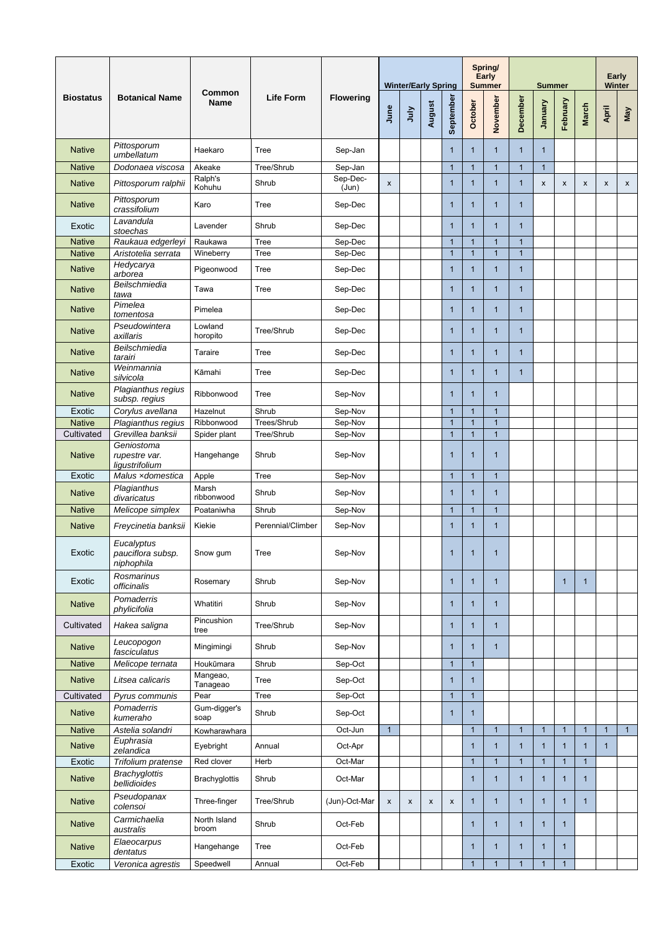|                  |                                               | <b>Common</b><br><b>Name</b> |                   |                   |              | <b>Winter/Early Spring</b> |              |                |                | Spring/<br><b>Early</b><br><b>Summer</b> |                | <b>Summer</b>             |                | Early<br><b>Winter</b> |                           |              |
|------------------|-----------------------------------------------|------------------------------|-------------------|-------------------|--------------|----------------------------|--------------|----------------|----------------|------------------------------------------|----------------|---------------------------|----------------|------------------------|---------------------------|--------------|
| <b>Biostatus</b> | <b>Botanical Name</b>                         |                              | <b>Life Form</b>  | <b>Flowering</b>  | June         | July                       | August       | September      | October        | November                                 | December       | January                   | February       | <b>March</b>           | April                     | <b>May</b>   |
| <b>Native</b>    | Pittosporum<br>umbellatum                     | Haekaro                      | <b>Tree</b>       | Sep-Jan           |              |                            |              | 1              | $\mathbf 1$    | $\mathbf{1}$                             | 1              | $\mathbf 1$               |                |                        |                           |              |
| <b>Native</b>    | Dodonaea viscosa                              | Akeake                       | Tree/Shrub        | Sep-Jan           |              |                            |              | $\mathbf{1}$   | 1              | 1                                        | -1             | $\overline{1}$            |                |                        |                           |              |
| <b>Native</b>    | Pittosporum ralphii                           | Ralph's<br>Kohuhu            | Shrub             | Sep-Dec-<br>(Jun) | $\mathsf{x}$ |                            |              | 1              | 1              | $\mathbf{1}$                             | 1              | $\boldsymbol{\mathsf{X}}$ | X              | X                      | $\boldsymbol{\mathsf{x}}$ | $\mathsf{x}$ |
| <b>Native</b>    | Pittosporum<br>crassifolium                   | Karo                         | <b>Tree</b>       | Sep-Dec           |              |                            |              | 1              | 1              | $\mathbf{1}$                             | 1              |                           |                |                        |                           |              |
| Exotic           | Lavandula<br>stoechas                         | Lavender                     | Shrub             | Sep-Dec           |              |                            |              | $\mathbf 1$    | 1              | $\mathbf{1}$                             | 1              |                           |                |                        |                           |              |
| <b>Native</b>    | Raukaua edgerleyi                             | Raukawa                      | <b>Tree</b>       | Sep-Dec           |              |                            |              | 1              | 1              | 1                                        |                |                           |                |                        |                           |              |
| <b>Native</b>    | Aristotelia serrata                           | Wineberry                    | <b>Tree</b>       | Sep-Dec           |              |                            |              | $\mathbf{1}$   | $\overline{1}$ | $\mathbf{1}$                             | $\overline{1}$ |                           |                |                        |                           |              |
| <b>Native</b>    | Hedycarya<br>arborea                          | Pigeonwood                   | Tree              | Sep-Dec           |              |                            |              | 1              | $\mathbf 1$    | $\mathbf{1}$                             | 1              |                           |                |                        |                           |              |
| <b>Native</b>    | Beilschmiedia<br>tawa                         | Tawa                         | <b>Tree</b>       | Sep-Dec           |              |                            |              | 1              | 1              | $\mathbf{1}$                             | 1              |                           |                |                        |                           |              |
| <b>Native</b>    | Pimelea<br>tomentosa                          | Pimelea                      |                   | Sep-Dec           |              |                            |              | 1              | 1              | $\mathbf{1}$                             | 1              |                           |                |                        |                           |              |
| <b>Native</b>    | Pseudowintera<br>axillaris                    | Lowland<br>horopito          | Tree/Shrub        | Sep-Dec           |              |                            |              | 1              | 1              | $\mathbf{1}$                             | 1              |                           |                |                        |                           |              |
| <b>Native</b>    | Beilschmiedia<br>tarairi                      | Taraire                      | Tree              | Sep-Dec           |              |                            |              | $\mathbf{1}$   | $\mathbf{1}$   | $\mathbf{1}$                             | $\mathbf 1$    |                           |                |                        |                           |              |
| <b>Native</b>    | Weinmannia<br>silvicola                       | Kāmahi                       | <b>Tree</b>       | Sep-Dec           |              |                            |              | $\mathbf 1$    | -1             | $\mathbf 1$                              | 1              |                           |                |                        |                           |              |
| <b>Native</b>    | Plagianthus regius<br>subsp. regius           | Ribbonwood                   | <b>Tree</b>       | Sep-Nov           |              |                            |              | 1              | 1              | $\mathbf 1$                              |                |                           |                |                        |                           |              |
| Exotic           | Corylus avellana                              | Hazelnut                     | Shrub             | Sep-Nov           |              |                            |              | 1              | -1             | 1                                        |                |                           |                |                        |                           |              |
| <b>Native</b>    | Plagianthus regius                            | Ribbonwood                   | Trees/Shrub       | Sep-Nov           |              |                            |              | $\overline{1}$ | $\overline{1}$ | $\overline{1}$                           |                |                           |                |                        |                           |              |
| Cultivated       | Grevillea banksii                             | Spider plant                 | Tree/Shrub        | Sep-Nov           |              |                            |              | 1              |                | 1                                        |                |                           |                |                        |                           |              |
| <b>Native</b>    | Geniostoma<br>rupestre var.<br>ligustrifolium | Hangehange                   | Shrub             | Sep-Nov           |              |                            |              | 1              | 1              | $\mathbf 1$                              |                |                           |                |                        |                           |              |
| Exotic           | Malus xdomestica                              | Apple                        | <b>Tree</b>       | Sep-Nov           |              |                            |              | 1              | 1              | 1                                        |                |                           |                |                        |                           |              |
| <b>Native</b>    | Plagianthus<br>divaricatus                    | Marsh<br>ribbonwood          | Shrub             | Sep-Nov           |              |                            |              | 1              | 1              | $\mathbf 1$                              |                |                           |                |                        |                           |              |
| <b>Native</b>    | Melicope simplex                              | Poataniwha                   | Shrub             | Sep-Nov           |              |                            |              | $\mathbf 1$    | 1              | 1                                        |                |                           |                |                        |                           |              |
| <b>Native</b>    | Freycinetia banksii                           | Kiekie                       | Perennial/Climber | Sep-Nov           |              |                            |              | 1              | 1              | $\mathbf 1$                              |                |                           |                |                        |                           |              |
| Exotic           | Eucalyptus<br>pauciflora subsp.<br>niphophila | Snow gum                     | <b>Tree</b>       | Sep-Nov           |              |                            |              | 1              | 1              | $\mathbf 1$                              |                |                           |                |                        |                           |              |
| Exotic           | Rosmarinus<br>officinalis                     | Rosemary                     | Shrub             | Sep-Nov           |              |                            |              | 1              | 1              | $\mathbf 1$                              |                |                           | $\mathbf 1$    | 1                      |                           |              |
| <b>Native</b>    | Pomaderris<br>phylicifolia                    | Whatitiri                    | Shrub             | Sep-Nov           |              |                            |              | 1              | 1              | $\mathbf 1$                              |                |                           |                |                        |                           |              |
| Cultivated       | Hakea saligna                                 | Pincushion<br>tree           | Tree/Shrub        | Sep-Nov           |              |                            |              | 1              | 1              | $\mathbf 1$                              |                |                           |                |                        |                           |              |
| <b>Native</b>    | Leucopogon<br>fasciculatus                    | Mingimingi                   | Shrub             | Sep-Nov           |              |                            |              | 1              | 1              | $\mathbf 1$                              |                |                           |                |                        |                           |              |
| <b>Native</b>    | Melicope ternata                              | Houkūmara                    | Shrub             | Sep-Oct           |              |                            |              | 1              |                |                                          |                |                           |                |                        |                           |              |
| <b>Native</b>    | Litsea calicaris                              | Mangeao,<br>Tanageao         | <b>Tree</b>       | Sep-Oct           |              |                            |              | 1              | 1              |                                          |                |                           |                |                        |                           |              |
| Cultivated       | Pyrus communis                                | Pear                         | <b>Tree</b>       | Sep-Oct           |              |                            |              | $\overline{1}$ | $\overline{1}$ |                                          |                |                           |                |                        |                           |              |
| <b>Native</b>    | Pomaderris<br>kumeraho                        | Gum-digger's<br>soap         | Shrub             | Sep-Oct           |              |                            |              | 1              | $\mathbf 1$    |                                          |                |                           |                |                        |                           |              |
| <b>Native</b>    | Astelia solandri                              | Kowharawhara                 |                   | Oct-Jun           | $\mathbf 1$  |                            |              |                | 1              |                                          |                | 1                         | 1              | 1                      | $\overline{1}$            | $\mathbf{1}$ |
| <b>Native</b>    | Euphrasia<br>zelandica                        | Eyebright                    | Annual            | Oct-Apr           |              |                            |              |                | 1              | 1                                        |                | 1                         | 1              |                        | 1                         |              |
| Exotic           | Trifolium pratense                            | Red clover                   | Herb              | Oct-Mar           |              |                            |              |                | 1              | $\overline{1}$                           |                |                           | $\overline{1}$ | $\mathbf{1}$           |                           |              |
| <b>Native</b>    | <b>Brachyglottis</b><br>bellidioides          | <b>Brachyglottis</b>         | Shrub             | Oct-Mar           |              |                            |              |                | $\mathbf{1}$   | $\mathbf{1}$                             | $\mathbf 1$    | 1                         | $\mathbf{1}$   | 1                      |                           |              |
| <b>Native</b>    | Pseudopanax<br>colensoi                       | Three-finger                 | Tree/Shrub        | (Jun)-Oct-Mar     | $\mathsf{x}$ | $\pmb{\chi}$               | $\mathsf{X}$ | $\mathsf{x}$   | $\mathbf 1$    | $\mathbf{1}$                             | 1              | 1                         | $\mathbf{1}$   | $\mathbf{1}$           |                           |              |
| <b>Native</b>    | Carmichaelia<br>australis                     | North Island<br>broom        | Shrub             | Oct-Feb           |              |                            |              |                | $\mathbf{1}$   | $\mathbf{1}$                             | $\mathbf 1$    | $\mathbf{1}$              | $\mathbf{1}$   |                        |                           |              |
| <b>Native</b>    | Elaeocarpus<br>dentatus                       | Hangehange                   | <b>Tree</b>       | Oct-Feb           |              |                            |              |                | $\mathbf 1$    | $\mathbf{1}$                             | 1              | -1                        | $\mathbf{1}$   |                        |                           |              |
| Exotic           | Veronica agrestis                             | Speedwell                    | Annual            | Oct-Feb           |              |                            |              |                | $\mathbf{1}$   | $\mathbf{1}$                             | $\mathbf{1}$   | $\overline{1}$            | $\mathbf{1}$   |                        |                           |              |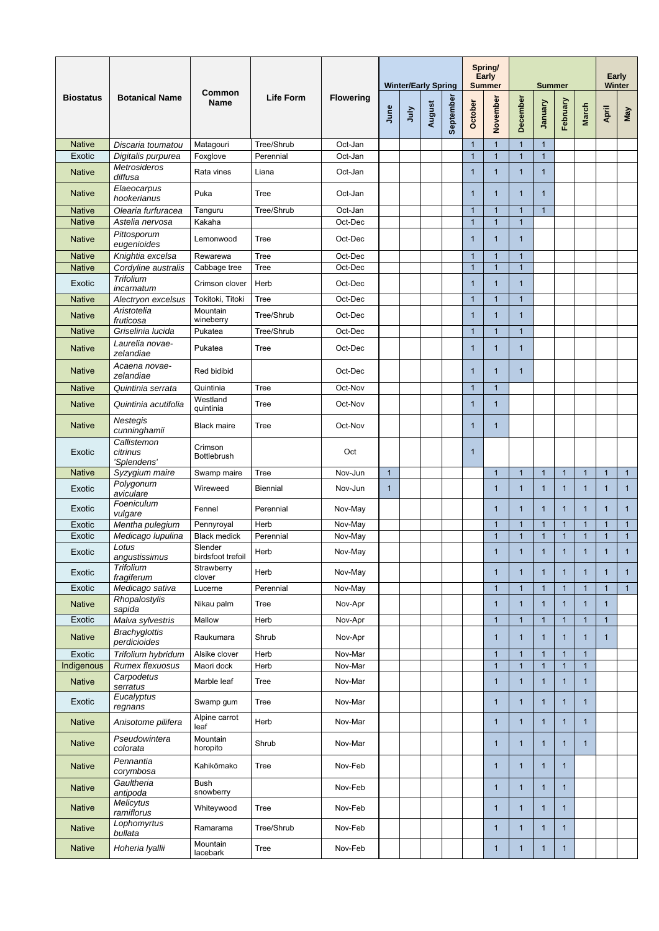|                                |                                         | <b>Common</b><br><b>Name</b>  | <b>Life Form</b> |                    | <b>Winter/Early Spring</b> |      |        |           |                             | Spring/<br><b>Early</b><br><b>Summer</b> | <b>Summer</b>        |                |                |              | Early<br><b>Winter</b> |              |
|--------------------------------|-----------------------------------------|-------------------------------|------------------|--------------------|----------------------------|------|--------|-----------|-----------------------------|------------------------------------------|----------------------|----------------|----------------|--------------|------------------------|--------------|
| <b>Biostatus</b>               | <b>Botanical Name</b>                   |                               |                  | <b>Flowering</b>   | June                       | VInc | August | September | October                     | November                                 | December             | Vienuel        | February       | <b>March</b> | April                  | $M$ ay       |
| <b>Native</b>                  | Discaria toumatou                       | Matagouri                     | Tree/Shrub       | Oct-Jan            |                            |      |        |           | $\mathbf{1}$                | $\mathbf{1}$                             |                      | $\mathbf{1}$   |                |              |                        |              |
| Exotic                         | Digitalis purpurea                      | Foxglove                      | Perennial        | Oct-Jan            |                            |      |        |           | $\overline{1}$              | $\mathbf{1}$                             | $\overline{1}$       | $\overline{1}$ |                |              |                        |              |
| <b>Native</b>                  | <b>Metrosideros</b><br>diffusa          | Rata vines                    | Liana            | Oct-Jan            |                            |      |        |           | $\mathbf 1$                 | $\mathbf{1}$                             | 1                    |                |                |              |                        |              |
| <b>Native</b>                  | Elaeocarpus<br>hookerianus              | Puka                          | <b>Tree</b>      | Oct-Jan            |                            |      |        |           | $\mathbf{1}$                | $\mathbf{1}$                             | $\mathbf{1}$         | $\mathbf 1$    |                |              |                        |              |
| <b>Native</b>                  | Olearia furfuracea                      | Tanguru                       | Tree/Shrub       | Oct-Jan            |                            |      |        |           | $\mathbf{1}$                | $\mathbf{1}$                             | 1                    | $\overline{1}$ |                |              |                        |              |
| <b>Native</b><br><b>Native</b> | Astelia nervosa<br>Pittosporum          | Kakaha<br>Lemonwood           | <b>Tree</b>      | Oct-Dec<br>Oct-Dec |                            |      |        |           | $\mathbf{1}$<br>$\mathbf 1$ | $\overline{1}$<br>$\mathbf{1}$           | $\overline{1}$<br>-1 |                |                |              |                        |              |
|                                | eugenioides                             |                               |                  |                    |                            |      |        |           |                             |                                          |                      |                |                |              |                        |              |
| <b>Native</b>                  | Knightia excelsa                        | Rewarewa                      | <b>Tree</b>      | Oct-Dec            |                            |      |        |           | $\overline{1}$              | $\overline{1}$                           |                      |                |                |              |                        |              |
| <b>Native</b>                  | Cordyline australis<br><b>Trifolium</b> | Cabbage tree                  | <b>Tree</b>      | Oct-Dec            |                            |      |        |           | $\overline{1}$              | $\overline{1}$                           | $\overline{1}$       |                |                |              |                        |              |
| Exotic                         | incarnatum                              | Crimson clover                | Herb             | Oct-Dec            |                            |      |        |           | $\mathbf{1}$                | $\mathbf 1$                              | -1                   |                |                |              |                        |              |
| <b>Native</b>                  | Alectryon excelsus<br>Aristotelia       | Tokitoki, Titoki<br>Mountain  | <b>Tree</b>      | Oct-Dec            |                            |      |        |           | $\mathbf{1}$                | $\overline{1}$                           | 1                    |                |                |              |                        |              |
| <b>Native</b>                  | fruticosa                               | wineberry                     | Tree/Shrub       | Oct-Dec            |                            |      |        |           | $\mathbf{1}$                | $\mathbf{1}$                             | 1                    |                |                |              |                        |              |
| <b>Native</b>                  | Griselinia lucida                       | Pukatea                       | Tree/Shrub       | Oct-Dec            |                            |      |        |           | $\overline{1}$              | $\overline{1}$                           | -1                   |                |                |              |                        |              |
| <b>Native</b>                  | Laurelia novae-<br>zelandiae            | Pukatea                       | <b>Tree</b>      | Oct-Dec            |                            |      |        |           | $\overline{1}$              | $\mathbf 1$                              |                      |                |                |              |                        |              |
| <b>Native</b>                  | Acaena novae-<br>zelandiae              | Red bidibid                   |                  | Oct-Dec            |                            |      |        |           | $\mathbf{1}$                | $\mathbf{1}$                             | -1                   |                |                |              |                        |              |
| <b>Native</b>                  | Quintinia serrata                       | Quintinia                     | <b>Tree</b>      | Oct-Nov            |                            |      |        |           | $\mathbf{1}$                | $\mathbf 1$                              |                      |                |                |              |                        |              |
| <b>Native</b>                  | Quintinia acutifolia                    | Westland<br>quintinia         | Tree             | Oct-Nov            |                            |      |        |           | $\mathbf{1}$                | $\mathbf{1}$                             |                      |                |                |              |                        |              |
| <b>Native</b>                  | <b>Nestegis</b><br>cunninghamii         | <b>Black maire</b>            | <b>Tree</b>      | Oct-Nov            |                            |      |        |           | 1                           | $\mathbf{1}$                             |                      |                |                |              |                        |              |
| Exotic                         | Callistemon<br>citrinus<br>'Splendens'  | Crimson<br><b>Bottlebrush</b> |                  | Oct                |                            |      |        |           | $\mathbf 1$                 |                                          |                      |                |                |              |                        |              |
| <b>Native</b>                  | Syzygium maire                          | Swamp maire                   | <b>Tree</b>      | Nov-Jun            | $\mathbf{1}$               |      |        |           |                             | $\mathbf{1}$                             | $\mathbf{1}$         | $\mathbf{1}$   | $\mathbf{1}$   | $\mathbf{1}$ | $\mathbf{1}$           | 1            |
| Exotic                         | Polygonum<br>aviculare                  | Wireweed                      | <b>Biennial</b>  | Nov-Jun            | $\mathbf{1}$               |      |        |           |                             | $\mathbf{1}$                             | 1                    | 1              | 1              | 1            |                        | $\mathbf{1}$ |
| Exotic                         | Foeniculum<br>vulgare                   | Fennel                        | Perennial        | Nov-May            |                            |      |        |           |                             | $\mathbf{1}$                             | 1                    | 1              | 1              | 1            |                        | 1            |
| Exotic                         | Mentha pulegium                         | Pennyroyal                    | Herb             | Nov-May            |                            |      |        |           |                             | $\mathbf{1}$                             |                      | $\overline{1}$ | $\mathbf{1}$   | 1            |                        | $\mathbf{1}$ |
| Exotic                         | Medicago lupulina                       | <b>Black medick</b>           | Perennial        | Nov-May            |                            |      |        |           |                             | $\mathbf{1}$                             |                      | $\overline{1}$ | $\overline{1}$ |              |                        | $\mathbf{1}$ |
| Exotic                         | Lotus<br>angustissimus                  | Slender<br>birdsfoot trefoil  | Herb             | Nov-May            |                            |      |        |           |                             | $\mathbf 1$                              |                      | 1              | 1              | 1            |                        | 1            |
| Exotic                         | <b>Trifolium</b><br>fragiferum          | Strawberry<br>clover          | Herb             | Nov-May            |                            |      |        |           |                             | $\mathbf{1}$                             | 1                    | 1              | 1              | 1            |                        | 1            |
| Exotic                         | Medicago sativa                         | Lucerne                       | Perennial        | Nov-May            |                            |      |        |           |                             | $\mathbf{1}$                             |                      |                | $\mathbf 1$    |              |                        | $\mathbf{1}$ |
| <b>Native</b>                  | Rhopalostylis<br>sapida                 | Nikau palm                    | <b>Tree</b>      | Nov-Apr            |                            |      |        |           |                             | $\mathbf 1$                              | 1                    | 1              | 1              | 1            |                        |              |
| Exotic                         | Malva sylvestris                        | Mallow                        | Herb             | Nov-Apr            |                            |      |        |           |                             | $\mathbf 1$                              | $\overline{1}$       | $\overline{1}$ | $\mathbf 1$    | 1            |                        |              |
| <b>Native</b>                  | <b>Brachyglottis</b><br>perdicioides    | Raukumara                     | Shrub            | Nov-Apr            |                            |      |        |           |                             | $\mathbf{1}$                             | 1                    | $\mathbf 1$    | 1              | 1            |                        |              |
| Exotic                         | Trifolium hybridum                      | Alsike clover                 | Herb             | Nov-Mar            |                            |      |        |           |                             | $\mathbf 1$                              |                      |                | 1              |              |                        |              |
| Indigenous                     | Rumex flexuosus                         | Maori dock                    | Herb             | Nov-Mar            |                            |      |        |           |                             | $\mathbf 1$                              | 1                    | 1              | $\mathbf 1$    | $\mathbf{1}$ |                        |              |
| <b>Native</b>                  | Carpodetus<br>serratus                  | Marble leaf                   | <b>Tree</b>      | Nov-Mar            |                            |      |        |           |                             | $\mathbf{1}$                             |                      | -1             | 1              |              |                        |              |
| Exotic                         | Eucalyptus<br>regnans                   | Swamp gum                     | <b>Tree</b>      | Nov-Mar            |                            |      |        |           |                             | $\mathbf{1}$                             | 1                    | 1              | 1              | 1            |                        |              |
| <b>Native</b>                  | Anisotome pilifera                      | Alpine carrot<br>leaf         | Herb             | Nov-Mar            |                            |      |        |           |                             | $\mathbf 1$                              | -1                   | 1              | $\mathbf{1}$   | 1            |                        |              |
| <b>Native</b>                  | Pseudowintera<br>colorata               | Mountain<br>horopito          | Shrub            | Nov-Mar            |                            |      |        |           |                             | $\mathbf 1$                              | 1                    | -1             | 1              | 1            |                        |              |
| <b>Native</b>                  | Pennantia<br>corymbosa                  | Kahikōmako                    | <b>Tree</b>      | Nov-Feb            |                            |      |        |           |                             | $\mathbf{1}$                             | 1                    | $\mathbf 1$    | $\mathbf{1}$   |              |                        |              |
| <b>Native</b>                  | Gaultheria<br>antipoda                  | <b>Bush</b><br>snowberry      |                  | Nov-Feb            |                            |      |        |           |                             | $\mathbf{1}$                             | $\mathbf{1}$         | $\mathbf 1$    | $\mathbf{1}$   |              |                        |              |
| <b>Native</b>                  | Melicytus<br>ramiflorus                 | Whiteywood                    | <b>Tree</b>      | Nov-Feb            |                            |      |        |           |                             | $\mathbf{1}$                             | $\mathbf{1}$         | $\mathbf 1$    | $\mathbf{1}$   |              |                        |              |
| <b>Native</b>                  | Lophomyrtus<br>bullata                  | Ramarama                      | Tree/Shrub       | Nov-Feb            |                            |      |        |           |                             | $\mathbf{1}$                             | 1                    | $\mathbf 1$    | $\mathbf{1}$   |              |                        |              |
| <b>Native</b>                  | Hoheria Iyallii                         | Mountain<br>lacebark          | <b>Tree</b>      | Nov-Feb            |                            |      |        |           |                             | $\mathbf{1}$                             | $\mathbf 1$          | $\mathbf{1}$   | $\mathbf{1}$   |              |                        |              |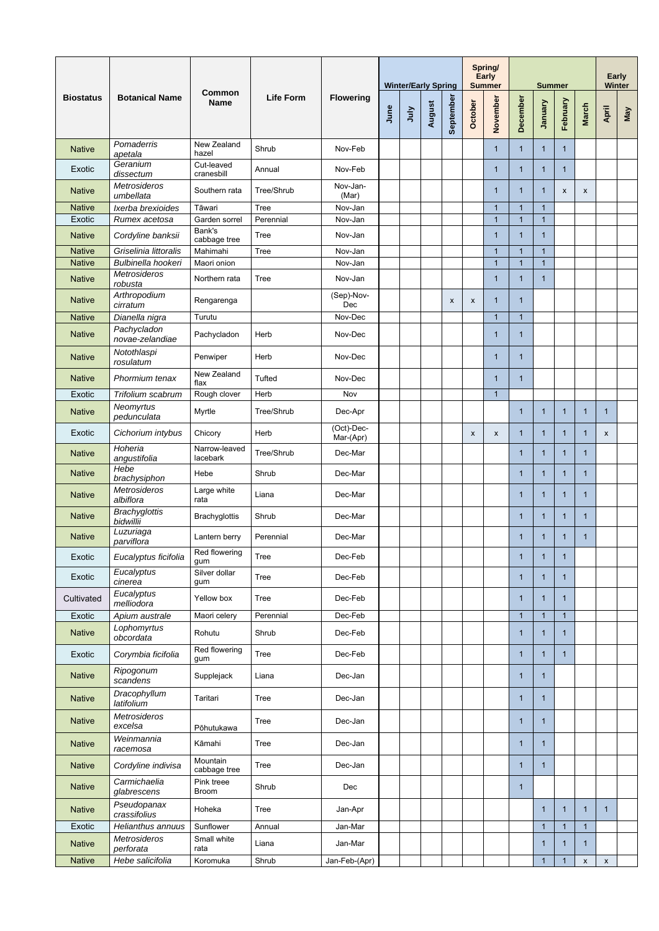|                                | <b>Botanical Name</b>                     | <b>Common</b><br><b>Name</b> | <b>Life Form</b>         |                         |      | <b>Winter/Early Spring</b> |        |           |                           | Spring/<br><b>Early</b><br><b>Summer</b> |                    | <b>Summer</b>                  |              | <b>Early</b><br><b>Winter</b> |              |            |
|--------------------------------|-------------------------------------------|------------------------------|--------------------------|-------------------------|------|----------------------------|--------|-----------|---------------------------|------------------------------------------|--------------------|--------------------------------|--------------|-------------------------------|--------------|------------|
| <b>Biostatus</b>               |                                           |                              |                          | <b>Flowering</b>        | June | July                       | August | September | October                   | November                                 | December           | <b>January</b>                 | February     | <b>March</b>                  | April        | <b>May</b> |
| <b>Native</b>                  | Pomaderris<br>apetala                     | New Zealand<br>hazel         | Shrub                    | Nov-Feb                 |      |                            |        |           |                           | $\mathbf 1$                              | 1                  | 1                              | 1            |                               |              |            |
| Exotic                         | Geranium<br>dissectum                     | Cut-leaved<br>cranesbill     | Annual                   | Nov-Feb                 |      |                            |        |           |                           | 1                                        | $\mathbf 1$        | $\mathbf 1$                    | $\mathbf{1}$ |                               |              |            |
| <b>Native</b>                  | <b>Metrosideros</b><br>umbellata          | Southern rata                | Tree/Shrub               | Nov-Jan-<br>(Mar)       |      |                            |        |           |                           | 1                                        | 1                  | 1                              | $\mathsf{x}$ | $\mathsf{x}$                  |              |            |
| <b>Native</b><br>Exotic        | Ixerba brexioides<br>Rumex acetosa        | Tāwari<br>Garden sorrel      | <b>Tree</b><br>Perennial | Nov-Jan<br>Nov-Jan      |      |                            |        |           |                           | $\overline{1}$<br>1                      | 1<br>1             | $\overline{1}$<br>$\mathbf{1}$ |              |                               |              |            |
| <b>Native</b>                  | Cordyline banksii                         | Bank's<br>cabbage tree       | <b>Tree</b>              | Nov-Jan                 |      |                            |        |           |                           | 1                                        | 1                  | 1                              |              |                               |              |            |
| <b>Native</b>                  | Griselinia littoralis                     | Mahimahi                     | Tree                     | Nov-Jan                 |      |                            |        |           |                           | 1                                        | -1                 | $\overline{1}$                 |              |                               |              |            |
| <b>Native</b><br><b>Native</b> | Bulbinella hookeri<br><b>Metrosideros</b> | Maori onion<br>Northern rata | <b>Tree</b>              | Nov-Jan<br>Nov-Jan      |      |                            |        |           |                           | $\overline{1}$<br>$\mathbf 1$            | 1<br>-1            | $\mathbf{1}$<br>1              |              |                               |              |            |
|                                | robusta<br>Arthropodium                   |                              |                          | (Sep)-Nov-              |      |                            |        |           |                           |                                          |                    |                                |              |                               |              |            |
| <b>Native</b><br><b>Native</b> | cirratum<br>Dianella nigra                | Rengarenga<br>Turutu         |                          | Dec<br>Nov-Dec          |      |                            |        | X         | $\boldsymbol{\mathsf{x}}$ | $\mathbf 1$<br>1                         | $\mathbf{1}$<br>-1 |                                |              |                               |              |            |
| <b>Native</b>                  | Pachycladon<br>novae-zelandiae            | Pachycladon                  | Herb                     | Nov-Dec                 |      |                            |        |           |                           | $\overline{1}$                           | $\mathbf 1$        |                                |              |                               |              |            |
| <b>Native</b>                  | Notothlaspi<br>rosulatum                  | Penwiper                     | Herb                     | Nov-Dec                 |      |                            |        |           |                           | 1                                        | $\overline{1}$     |                                |              |                               |              |            |
| <b>Native</b>                  | Phormium tenax                            | New Zealand<br>flax          | Tufted                   | Nov-Dec                 |      |                            |        |           |                           | 1                                        | 1                  |                                |              |                               |              |            |
| Exotic                         | Trifolium scabrum                         | Rough clover                 | Herb                     | Nov                     |      |                            |        |           |                           | $\overline{1}$                           |                    |                                |              |                               |              |            |
| <b>Native</b>                  | <b>Neomyrtus</b><br>pedunculata           | Myrtle                       | Tree/Shrub               | Dec-Apr                 |      |                            |        |           |                           |                                          |                    | 1                              | 1            |                               |              |            |
| Exotic                         | Cichorium intybus                         | Chicory                      | Herb                     | (Oct)-Dec-<br>Mar-(Apr) |      |                            |        |           | $\boldsymbol{\mathsf{x}}$ | $\boldsymbol{\mathsf{X}}$                | $\overline{1}$     | $\overline{1}$                 | $\mathbf{1}$ | $\mathbf 1$                   | X            |            |
| <b>Native</b>                  | Hoheria<br>angustifolia                   | Narrow-leaved<br>lacebark    | Tree/Shrub               | Dec-Mar                 |      |                            |        |           |                           |                                          | $\mathbf{1}$       | 1                              | $\mathbf{1}$ | 1                             |              |            |
| <b>Native</b>                  | Hebe<br>brachysiphon                      | Hebe                         | Shrub                    | Dec-Mar                 |      |                            |        |           |                           |                                          | $\mathbf{1}$       | 1                              | $\mathbf 1$  | 1                             |              |            |
| <b>Native</b>                  | <b>Metrosideros</b><br>albiflora          | Large white<br>rata          | Liana                    | Dec-Mar                 |      |                            |        |           |                           |                                          | $\overline{1}$     | 1                              | 1            | 1                             |              |            |
| <b>Native</b>                  | <b>Brachyglottis</b><br>bidwillii         | <b>Brachyglottis</b>         | Shrub                    | Dec-Mar                 |      |                            |        |           |                           |                                          | $\mathbf{1}$       | $\mathbf 1$                    | $\mathbf{1}$ | 1                             |              |            |
| <b>Native</b>                  | Luzuriaga<br>parviflora                   | Lantern berry                | Perennial                | Dec-Mar                 |      |                            |        |           |                           |                                          | $\mathbf 1$        | $\mathbf 1$                    | $\mathbf 1$  | $\mathbf 1$                   |              |            |
| Exotic                         | Eucalyptus ficifolia                      | Red flowering<br>gum         | <b>Tree</b>              | Dec-Feb                 |      |                            |        |           |                           |                                          | $\mathbf{1}$       | 1                              | $\mathbf{1}$ |                               |              |            |
| Exotic                         | Eucalyptus<br>cinerea                     | Silver dollar<br>gum         | <b>Tree</b>              | Dec-Feb                 |      |                            |        |           |                           |                                          | $\mathbf{1}$       | 1                              | 1            |                               |              |            |
| Cultivated                     | Eucalyptus<br>melliodora                  | Yellow box                   | <b>Tree</b>              | Dec-Feb                 |      |                            |        |           |                           |                                          | $\mathbf 1$        | 1                              | 1            |                               |              |            |
| Exotic                         | Apium australe                            | Maori celery                 | Perennial                | Dec-Feb                 |      |                            |        |           |                           |                                          | $\mathbf{1}$       | $\overline{1}$                 | $\mathbf{1}$ |                               |              |            |
| <b>Native</b>                  | Lophomyrtus<br>obcordata                  | Rohutu                       | Shrub                    | Dec-Feb                 |      |                            |        |           |                           |                                          | 1                  | 1                              | 1            |                               |              |            |
| Exotic                         | Corymbia ficifolia                        | Red flowering<br>gum         | <b>Tree</b>              | Dec-Feb                 |      |                            |        |           |                           |                                          | $\overline{1}$     | -1                             | 1            |                               |              |            |
| <b>Native</b>                  | Ripogonum<br>scandens                     | Supplejack                   | Liana                    | Dec-Jan                 |      |                            |        |           |                           |                                          | $\mathbf{1}$       | $\mathbf 1$                    |              |                               |              |            |
| <b>Native</b>                  | Dracophyllum<br>latifolium                | Taritari                     | <b>Tree</b>              | Dec-Jan                 |      |                            |        |           |                           |                                          | -1                 | 1                              |              |                               |              |            |
| <b>Native</b>                  | Metrosideros<br>excelsa                   | Pōhutukawa                   | <b>Tree</b>              | Dec-Jan                 |      |                            |        |           |                           |                                          | $\mathbf{1}$       | 1                              |              |                               |              |            |
| <b>Native</b>                  | Weinmannia<br>racemosa                    | Kāmahi                       | <b>Tree</b>              | Dec-Jan                 |      |                            |        |           |                           |                                          | 1                  | -1                             |              |                               |              |            |
| <b>Native</b>                  | Cordyline indivisa                        | Mountain<br>cabbage tree     | <b>Tree</b>              | Dec-Jan                 |      |                            |        |           |                           |                                          | $\mathbf{1}$       | $\mathbf 1$                    |              |                               |              |            |
| <b>Native</b>                  | Carmichaelia<br>glabrescens               | Pink treee<br><b>Broom</b>   | Shrub                    | Dec                     |      |                            |        |           |                           |                                          | $\mathbf{1}$       |                                |              |                               |              |            |
| <b>Native</b>                  | Pseudopanax<br>crassifolius               | Hoheka                       | <b>Tree</b>              | Jan-Apr                 |      |                            |        |           |                           |                                          |                    | 1                              | 1            |                               |              |            |
| Exotic                         | Helianthus annuus                         | Sunflower                    | Annual                   | Jan-Mar                 |      |                            |        |           |                           |                                          |                    | $\mathbf{1}$                   | $\mathbf{1}$ | $\mathbf{1}$                  |              |            |
| <b>Native</b>                  | Metrosideros<br>perforata                 | Small white<br>rata          | Liana                    | Jan-Mar                 |      |                            |        |           |                           |                                          |                    | 1                              | $\mathbf{1}$ | 1                             |              |            |
| <b>Native</b>                  | Hebe salicifolia                          | Koromuka                     | Shrub                    | Jan-Feb-(Apr)           |      |                            |        |           |                           |                                          |                    | $\mathbf{1}$                   | $\mathbf{1}$ | $\pmb{\mathsf{X}}$            | $\mathsf{x}$ |            |